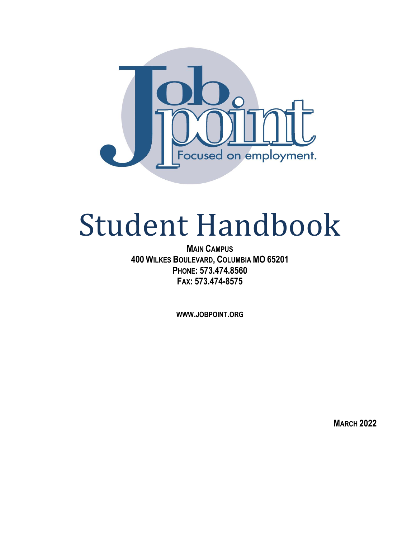

# Student Handbook

**MAIN CAMPUS 400 WILKES BOULEVARD, COLUMBIA MO 65201 PHONE: 573.474.8560 FAX: 573.474-8575**

**WWW.JOBPOINT.ORG**

**MARCH 2022**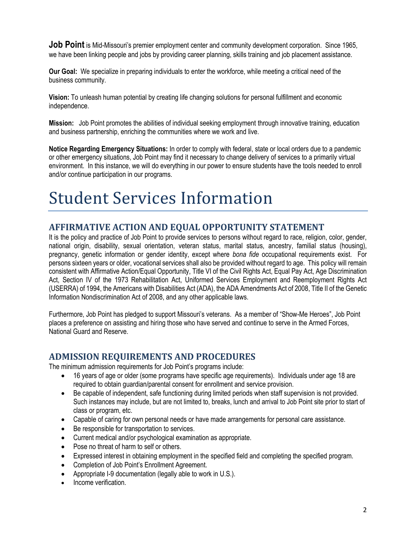**Job Point** is Mid-Missouri's premier employment center and community development corporation. Since 1965, we have been linking people and jobs by providing career planning, skills training and job placement assistance.

**Our Goal:** We specialize in preparing individuals to enter the workforce, while meeting a critical need of the business community.

**Vision:** To unleash human potential by creating life changing solutions for personal fulfillment and economic independence.

**Mission:** Job Point promotes the abilities of individual seeking employment through innovative training, education and business partnership, enriching the communities where we work and live.

**Notice Regarding Emergency Situations:** In order to comply with federal, state or local orders due to a pandemic or other emergency situations, Job Point may find it necessary to change delivery of services to a primarily virtual environment. In this instance, we will do everything in our power to ensure students have the tools needed to enroll and/or continue participation in our programs.

# Student Services Information

# **AFFIRMATIVE ACTION AND EQUAL OPPORTUNITY STATEMENT**

It is the policy and practice of Job Point to provide services to persons without regard to race, religion, color, gender, national origin, disability, sexual orientation, veteran status, marital status, ancestry, familial status (housing), pregnancy, genetic information or gender identity, except where *bona fide* occupational requirements exist. For persons sixteen years or older, vocational services shall also be provided without regard to age. This policy will remain consistent with Affirmative Action/Equal Opportunity, Title VI of the Civil Rights Act, Equal Pay Act, Age Discrimination Act, Section IV of the 1973 Rehabilitation Act, Uniformed Services Employment and Reemployment Rights Act (USERRA) of 1994, the Americans with Disabilities Act (ADA), the ADA Amendments Act of 2008, Title II of the Genetic Information Nondiscrimination Act of 2008, and any other applicable laws.

Furthermore, Job Point has pledged to support Missouri's veterans. As a member of "Show-Me Heroes", Job Point places a preference on assisting and hiring those who have served and continue to serve in the Armed Forces, National Guard and Reserve.

#### **ADMISSION REQUIREMENTS AND PROCEDURES**

The minimum admission requirements for Job Point's programs include:

- 16 years of age or older (some programs have specific age requirements). Individuals under age 18 are required to obtain guardian/parental consent for enrollment and service provision.
- Be capable of independent, safe functioning during limited periods when staff supervision is not provided. Such instances may include, but are not limited to, breaks, lunch and arrival to Job Point site prior to start of class or program, etc.
- Capable of caring for own personal needs or have made arrangements for personal care assistance.
- Be responsible for transportation to services.
- Current medical and/or psychological examination as appropriate.
- Pose no threat of harm to self or others.
- Expressed interest in obtaining employment in the specified field and completing the specified program.
- Completion of Job Point's Enrollment Agreement.
- Appropriate I-9 documentation (legally able to work in U.S.).
- Income verification.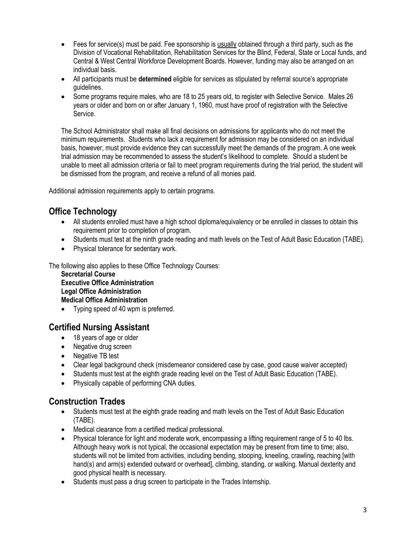- Fees for service(s) must be paid. Fee sponsorship is usually obtained through a third party, such as the Division of Vocational Rehabilitation, Rehabilitation Services for the Blind, Federal, State or Local funds, and Central & West Central Workforce Development Boards. However, funding may also be arranged on an individual basis.
- All participants must be **determined** eligible for services as stipulated by referral source's appropriate guidelines.
- Some programs require males, who are 18 to 25 years old, to register with Selective Service. Males 26 years or older and born on or after January 1, 1960, must have proof of registration with the Selective Service.

The School Administrator shall make all final decisions on admissions for applicants who do not meet the minimum requirements. Students who lack a requirement for admission may be considered on an individual basis, however, must provide evidence they can successfully meet the demands of the program. A one week trial admission may be recommended to assess the student's likelihood to complete. Should a student be unable to meet all admission criteria or fail to meet program requirements during the trial period, the student will be dismissed from the program, and receive a refund of all monies paid.

Additional admission requirements apply to certain programs.

# **Office Technology**

- All students enrolled must have a high school diploma/equivalency or be enrolled in classes to obtain this requirement prior to completion of program.
- Students must test at the ninth grade reading and math levels on the Test of Adult Basic Education (TABE).
- Physical tolerance for sedentary work.

The following also applies to these Office Technology Courses:

**Secretarial Course Executive Office Administration Legal Office Administration Medical Office Administration**

• Typing speed of 40 wpm is preferred.

# **Certified Nursing Assistant**

- 18 years of age or older
- Negative drug screen
- Negative TB test
- Clear legal background check (misdemeanor considered case by case, good cause waiver accepted)
- Students must test at the eighth grade reading level on the Test of Adult Basic Education (TABE).
- Physically capable of performing CNA duties.

# **Construction Trades**

- Students must test at the eighth grade reading and math levels on the Test of Adult Basic Education (TABE).
- Medical clearance from a certified medical professional.
- Physical tolerance for light and moderate work, encompassing a lifting requirement range of 5 to 40 lbs. Although heavy work is not typical, the occasional expectation may be present from time to time; also, students will not be limited from activities, including bending, stooping, kneeling, crawling, reaching [with hand(s) and arm(s) extended outward or overhead], climbing, standing, or walking. Manual dexterity and good physical health is necessary.
- Students must pass a drug screen to participate in the Trades Internship.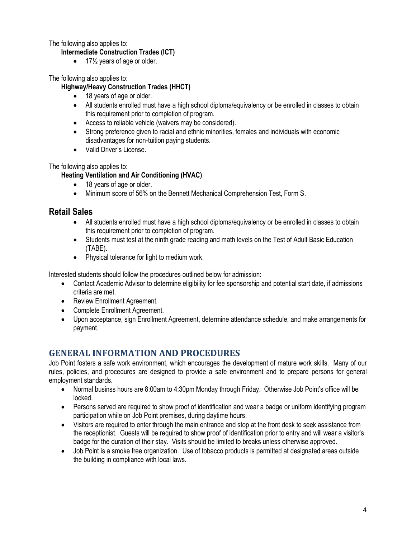The following also applies to:

#### **Intermediate Construction Trades (ICT)**

 $\bullet$  17 $\frac{1}{2}$  years of age or older.

The following also applies to:

#### **Highway/Heavy Construction Trades (HHCT)**

- 18 years of age or older.
- All students enrolled must have a high school diploma/equivalency or be enrolled in classes to obtain this requirement prior to completion of program.
- Access to reliable vehicle (waivers may be considered).
- Strong preference given to racial and ethnic minorities, females and individuals with economic disadvantages for non-tuition paying students.
- Valid Driver's License.

The following also applies to:

#### **Heating Ventilation and Air Conditioning (HVAC)**

- 18 years of age or older.
- Minimum score of 56% on the Bennett Mechanical Comprehension Test, Form S.

#### **Retail Sales**

- All students enrolled must have a high school diploma/equivalency or be enrolled in classes to obtain this requirement prior to completion of program.
- Students must test at the ninth grade reading and math levels on the Test of Adult Basic Education (TABE).
- Physical tolerance for light to medium work.

Interested students should follow the procedures outlined below for admission:

- Contact Academic Advisor to determine eligibility for fee sponsorship and potential start date, if admissions criteria are met.
- Review Enrollment Agreement.
- Complete Enrollment Agreement.
- Upon acceptance, sign Enrollment Agreement, determine attendance schedule, and make arrangements for payment.

# **GENERAL INFORMATION AND PROCEDURES**

Job Point fosters a safe work environment, which encourages the development of mature work skills. Many of our rules, policies, and procedures are designed to provide a safe environment and to prepare persons for general employment standards.

- Normal businss hours are 8:00am to 4:30pm Monday through Friday. Otherwise Job Point's office will be locked.
- Persons served are required to show proof of identification and wear a badge or uniform identifying program participation while on Job Point premises, during daytime hours.
- Visitors are required to enter through the main entrance and stop at the front desk to seek assistance from the receptionist. Guests will be required to show proof of identification prior to entry and will wear a visitor's badge for the duration of their stay. Visits should be limited to breaks unless otherwise approved.
- Job Point is a smoke free organization. Use of tobacco products is permitted at designated areas outside the building in compliance with local laws.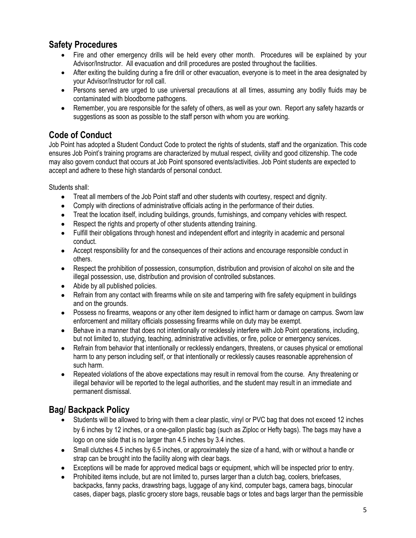# **Safety Procedures**

- Fire and other emergency drills will be held every other month. Procedures will be explained by your Advisor/Instructor. All evacuation and drill procedures are posted throughout the facilities.
- After exiting the building during a fire drill or other evacuation, everyone is to meet in the area designated by your Advisor/Instructor for roll call.
- Persons served are urged to use universal precautions at all times, assuming any bodily fluids may be contaminated with bloodborne pathogens.
- Remember, you are responsible for the safety of others, as well as your own. Report any safety hazards or suggestions as soon as possible to the staff person with whom you are working.

# **Code of Conduct**

Job Point has adopted a Student Conduct Code to protect the rights of students, staff and the organization. This code ensures Job Point's training programs are characterized by mutual respect, civility and good citizenship. The code may also govern conduct that occurs at Job Point sponsored events/activities. Job Point students are expected to accept and adhere to these high standards of personal conduct.

Students shall:

- Treat all members of the Job Point staff and other students with courtesy, respect and dignity.
- Comply with directions of administrative officials acting in the performance of their duties.
- Treat the location itself, including buildings, grounds, furnishings, and company vehicles with respect.
- Respect the rights and property of other students attending training.
- Fulfill their obligations through honest and independent effort and integrity in academic and personal conduct.
- Accept responsibility for and the consequences of their actions and encourage responsible conduct in others.
- Respect the prohibition of possession, consumption, distribution and provision of alcohol on site and the illegal possession, use, distribution and provision of controlled substances.
- Abide by all published policies.
- Refrain from any contact with firearms while on site and tampering with fire safety equipment in buildings and on the grounds.
- Possess no firearms, weapons or any other item designed to inflict harm or damage on campus. Sworn law enforcement and military officials possessing firearms while on duty may be exempt.
- Behave in a manner that does not intentionally or recklessly interfere with Job Point operations, including, but not limited to, studying, teaching, administrative activities, or fire, police or emergency services.
- Refrain from behavior that intentionally or recklessly endangers, threatens, or causes physical or emotional harm to any person including self, or that intentionally or recklessly causes reasonable apprehension of such harm.
- Repeated violations of the above expectations may result in removal from the course. Any threatening or illegal behavior will be reported to the legal authorities, and the student may result in an immediate and permanent dismissal.

# **Bag/ Backpack Policy**

- Students will be allowed to bring with them a clear plastic, vinyl or PVC bag that does not exceed 12 inches by 6 inches by 12 inches, or a one-gallon plastic bag (such as Ziploc or Hefty bags). The bags may have a logo on one side that is no larger than 4.5 inches by 3.4 inches.
- Small clutches 4.5 inches by 6.5 inches, or approximately the size of a hand, with or without a handle or strap can be brought into the facility along with clear bags.
- Exceptions will be made for approved medical bags or equipment, which will be inspected prior to entry.
- Prohibited items include, but are not limited to, purses larger than a clutch bag, coolers, briefcases, backpacks, fanny packs, drawstring bags, luggage of any kind, computer bags, camera bags, binocular cases, diaper bags, plastic grocery store bags, reusable bags or totes and bags larger than the permissible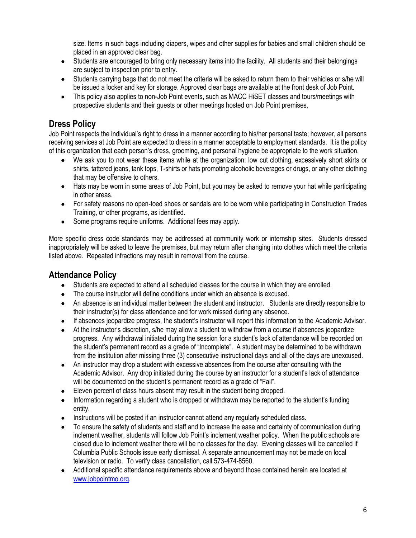size. Items in such bags including diapers, wipes and other supplies for babies and small children should be placed in an approved clear bag.

- Students are encouraged to bring only necessary items into the facility. All students and their belongings are subject to inspection prior to entry.
- Students carrying bags that do not meet the criteria will be asked to return them to their vehicles or s/he will be issued a locker and key for storage. Approved clear bags are available at the front desk of Job Point.
- This policy also applies to non-Job Point events, such as MACC HiSET classes and tours/meetings with prospective students and their guests or other meetings hosted on Job Point premises.

# **Dress Policy**

Job Point respects the individual's right to dress in a manner according to his/her personal taste; however, all persons receiving services at Job Point are expected to dress in a manner acceptable to employment standards. It is the policy of this organization that each person's dress, grooming, and personal hygiene be appropriate to the work situation.

- We ask you to not wear these items while at the organization: low cut clothing, excessively short skirts or shirts, tattered jeans, tank tops, T-shirts or hats promoting alcoholic beverages or drugs, or any other clothing that may be offensive to others.
- Hats may be worn in some areas of Job Point, but you may be asked to remove your hat while participating in other areas.
- For safety reasons no open-toed shoes or sandals are to be worn while participating in Construction Trades Training, or other programs, as identified.
- Some programs require uniforms. Additional fees may apply.

More specific dress code standards may be addressed at community work or internship sites. Students dressed inappropriately will be asked to leave the premises, but may return after changing into clothes which meet the criteria listed above. Repeated infractions may result in removal from the course.

# **Attendance Policy**

- Students are expected to attend all scheduled classes for the course in which they are enrolled.
- The course instructor will define conditions under which an absence is excused.
- An absence is an individual matter between the student and instructor. Students are directly responsible to their instructor(s) for class attendance and for work missed during any absence.
- If absences jeopardize progress, the student's instructor will report this information to the Academic Advisor.
- At the instructor's discretion, s/he may allow a student to withdraw from a course if absences jeopardize progress. Any withdrawal initiated during the session for a student's lack of attendance will be recorded on the student's permanent record as a grade of "Incomplete". A student may be determined to be withdrawn from the institution after missing three (3) consecutive instructional days and all of the days are unexcused.
- An instructor may drop a student with excessive absences from the course after consulting with the Academic Advisor. Any drop initiated during the course by an instructor for a student's lack of attendance will be documented on the student's permanent record as a grade of "Fail".
- Eleven percent of class hours absent may result in the student being dropped.
- Information regarding a student who is dropped or withdrawn may be reported to the student's funding entity.
- Instructions will be posted if an instructor cannot attend any regularly scheduled class.
- To ensure the safety of students and staff and to increase the ease and certainty of communication during inclement weather, students will follow Job Point's inclement weather policy. When the public schools are closed due to inclement weather there will be no classes for the day. Evening classes will be cancelled if Columbia Public Schools issue early dismissal. A separate announcement may not be made on local television or radio. To verify class cancellation, call 573-474-8560.
- Additional specific attendance requirements above and beyond those contained herein are located at [www.jobpointmo.org.](http://www.jobpointmo.org/)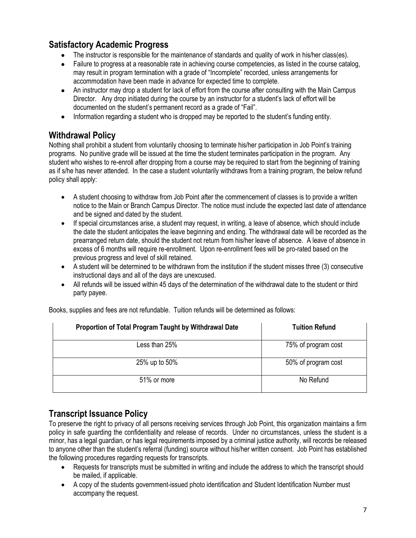# **Satisfactory Academic Progress**

- The instructor is responsible for the maintenance of standards and quality of work in his/her class(es).
- Failure to progress at a reasonable rate in achieving course competencies, as listed in the course catalog, may result in program termination with a grade of "Incomplete" recorded, unless arrangements for accommodation have been made in advance for expected time to complete.
- An instructor may drop a student for lack of effort from the course after consulting with the Main Campus Director. Any drop initiated during the course by an instructor for a student's lack of effort will be documented on the student's permanent record as a grade of "Fail".
- Information regarding a student who is dropped may be reported to the student's funding entity.

# **Withdrawal Policy**

Nothing shall prohibit a student from voluntarily choosing to terminate his/her participation in Job Point's training programs. No punitive grade will be issued at the time the student terminates participation in the program. Any student who wishes to re-enroll after dropping from a course may be required to start from the beginning of training as if s/he has never attended. In the case a student voluntarily withdraws from a training program, the below refund policy shall apply:

- A student choosing to withdraw from Job Point after the commencement of classes is to provide a written notice to the Main or Branch Campus Director. The notice must include the expected last date of attendance and be signed and dated by the student.
- If special circumstances arise, a student may request, in writing, a leave of absence, which should include the date the student anticipates the leave beginning and ending. The withdrawal date will be recorded as the prearranged return date, should the student not return from his/her leave of absence. A leave of absence in excess of 6 months will require re-enrollment. Upon re-enrollment fees will be pro-rated based on the previous progress and level of skill retained.
- A student will be determined to be withdrawn from the institution if the student misses three (3) consecutive instructional days and all of the days are unexcused.
- All refunds will be issued within 45 days of the determination of the withdrawal date to the student or third party payee.

| Proportion of Total Program Taught by Withdrawal Date | <b>Tuition Refund</b> |
|-------------------------------------------------------|-----------------------|
| Less than 25%                                         | 75% of program cost   |
| 25% up to 50%                                         | 50% of program cost   |
| 51% or more                                           | No Refund             |

Books, supplies and fees are not refundable. Tuition refunds will be determined as follows:

# **Transcript Issuance Policy**

To preserve the right to privacy of all persons receiving services through Job Point, this organization maintains a firm policy in safe guarding the confidentiality and release of records. Under no circumstances, unless the student is a minor, has a legal guardian, or has legal requirements imposed by a criminal justice authority, will records be released to anyone other than the student's referral (funding) source without his/her written consent. Job Point has established the following procedures regarding requests for transcripts.

- Requests for transcripts must be submitted in writing and include the address to which the transcript should be mailed, if applicable.
- A copy of the students government-issued photo identification and Student Identification Number must accompany the request.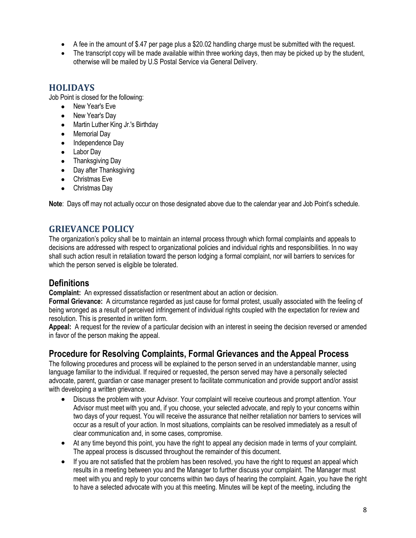- A fee in the amount of \$.47 per page plus a \$20.02 handling charge must be submitted with the request.
- The transcript copy will be made available within three working days, then may be picked up by the student, otherwise will be mailed by U.S Postal Service via General Delivery.

# **HOLIDAYS**

Job Point is closed for the following:

- New Year's Eve
- New Year's Day
- Martin Luther King Jr.'s Birthday
- Memorial Day
- Independence Day
- Labor Day
- Thanksgiving Day
- Day after Thanksgiving
- Christmas Eve
- Christmas Day

**Note**: Days off may not actually occur on those designated above due to the calendar year and Job Point's schedule.

# **GRIEVANCE POLICY**

The organization's policy shall be to maintain an internal process through which formal complaints and appeals to decisions are addressed with respect to organizational policies and individual rights and responsibilities. In no way shall such action result in retaliation toward the person lodging a formal complaint, nor will barriers to services for which the person served is eligible be tolerated.

# **Definitions**

**Complaint:** An expressed dissatisfaction or resentment about an action or decision.

**Formal Grievance:** A circumstance regarded as just cause for formal protest, usually associated with the feeling of being wronged as a result of perceived infringement of individual rights coupled with the expectation for review and resolution. This is presented in written form.

**Appeal:** A request for the review of a particular decision with an interest in seeing the decision reversed or amended in favor of the person making the appeal.

# **Procedure for Resolving Complaints, Formal Grievances and the Appeal Process**

The following procedures and process will be explained to the person served in an understandable manner, using language familiar to the individual. If required or requested, the person served may have a personally selected advocate, parent, guardian or case manager present to facilitate communication and provide support and/or assist with developing a written grievance.

- Discuss the problem with your Advisor. Your complaint will receive courteous and prompt attention. Your Advisor must meet with you and, if you choose, your selected advocate, and reply to your concerns within two days of your request. You will receive the assurance that neither retaliation nor barriers to services will occur as a result of your action. In most situations, complaints can be resolved immediately as a result of clear communication and, in some cases, compromise.
- At any time beyond this point, you have the right to appeal any decision made in terms of your complaint. The appeal process is discussed throughout the remainder of this document.
- If you are not satisfied that the problem has been resolved, you have the right to request an appeal which results in a meeting between you and the Manager to further discuss your complaint. The Manager must meet with you and reply to your concerns within two days of hearing the complaint. Again, you have the right to have a selected advocate with you at this meeting. Minutes will be kept of the meeting, including the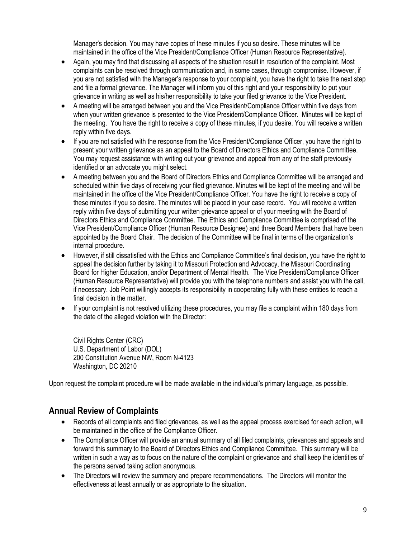Manager's decision. You may have copies of these minutes if you so desire. These minutes will be maintained in the office of the Vice President/Compliance Officer (Human Resource Representative).

- Again, you may find that discussing all aspects of the situation result in resolution of the complaint. Most complaints can be resolved through communication and, in some cases, through compromise. However, if you are not satisfied with the Manager's response to your complaint, you have the right to take the next step and file a formal grievance. The Manager will inform you of this right and your responsibility to put your grievance in writing as well as his/her responsibility to take your filed grievance to the Vice President.
- A meeting will be arranged between you and the Vice President/Compliance Officer within five days from when your written grievance is presented to the Vice President/Compliance Officer. Minutes will be kept of the meeting. You have the right to receive a copy of these minutes, if you desire. You will receive a written reply within five days.
- If you are not satisfied with the response from the Vice President/Compliance Officer, you have the right to present your written grievance as an appeal to the Board of Directors Ethics and Compliance Committee. You may request assistance with writing out your grievance and appeal from any of the staff previously identified or an advocate you might select.
- A meeting between you and the Board of Directors Ethics and Compliance Committee will be arranged and scheduled within five days of receiving your filed grievance. Minutes will be kept of the meeting and will be maintained in the office of the Vice President/Compliance Officer. You have the right to receive a copy of these minutes if you so desire. The minutes will be placed in your case record. You will receive a written reply within five days of submitting your written grievance appeal or of your meeting with the Board of Directors Ethics and Compliance Committee. The Ethics and Compliance Committee is comprised of the Vice President/Compliance Officer (Human Resource Designee) and three Board Members that have been appointed by the Board Chair. The decision of the Committee will be final in terms of the organization's internal procedure.
- However, if still dissatisfied with the Ethics and Compliance Committee's final decision, you have the right to appeal the decision further by taking it to Missouri Protection and Advocacy, the Missouri Coordinating Board for Higher Education, and/or Department of Mental Health. The Vice President/Compliance Officer (Human Resource Representative) will provide you with the telephone numbers and assist you with the call, if necessary. Job Point willingly accepts its responsibility in cooperating fully with these entities to reach a final decision in the matter.
- If your complaint is not resolved utilizing these procedures, you may file a complaint within 180 days from the date of the alleged violation with the Director:

Civil Rights Center (CRC) U.S. Department of Labor (DOL) 200 Constitution Avenue NW, Room N-4123 Washington, DC 20210

Upon request the complaint procedure will be made available in the individual's primary language, as possible.

# **Annual Review of Complaints**

- Records of all complaints and filed grievances, as well as the appeal process exercised for each action, will be maintained in the office of the Compliance Officer.
- The Compliance Officer will provide an annual summary of all filed complaints, grievances and appeals and forward this summary to the Board of Directors Ethics and Compliance Committee. This summary will be written in such a way as to focus on the nature of the complaint or grievance and shall keep the identities of the persons served taking action anonymous.
- The Directors will review the summary and prepare recommendations. The Directors will monitor the effectiveness at least annually or as appropriate to the situation.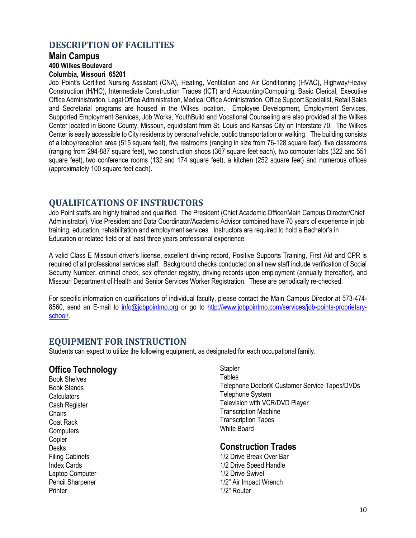#### **DESCRIPTION OF FACILITIES**

#### **Main Campus**

**400 Wilkes Boulevard**

#### **Columbia, Missouri 65201**

Job Point's Certified Nursing Assistant (CNA), Heating, Ventilation and Air Conditioning (HVAC), Highway/Heavy Construction (H/HC), Intermediate Construction Trades (ICT) and Accounting/Computing, Basic Clerical, Executive Office Administration, Legal Office Administration, Medical Office Administration, Office Support Specialist, Retail Sales and Secretarial programs are housed in the Wilkes location. Employee Development, Employment Services, Supported Employment Services, Job Works, YouthBuild and Vocational Counseling are also provided at the Wilkes Center located in Boone County, Missouri, equidistant from St. Louis and Kansas City on Interstate 70. The Wilkes Center is easily accessible to City residents by personal vehicle, public transportation or walking. The building consists of a lobby/reception area (515 square feet), five restrooms (ranging in size from 76-128 square feet), five classrooms (ranging from 294-887 square feet), two construction shops (367 square feet each), two computer labs (322 and 551 square feet), two conference rooms (132 and 174 square feet), a kitchen (252 square feet) and numerous offices (approximately 100 square feet each).

#### **QUALIFICATIONS OF INSTRUCTORS**

Job Point staffs are highly trained and qualified. The President (Chief Academic Officer/Main Campus Director/Chief Administrator), Vice President and Data Coordinator/Academic Advisor combined have 70 years of experience in job training, education, rehabilitation and employment services. Instructors are required to hold a Bachelor's in Education or related field or at least three years professional experience.

A valid Class E Missouri driver's license, excellent driving record, Positive Supports Training, First Aid and CPR is required of all professional services staff. Background checks conducted on all new staff include verification of Social Security Number, criminal check, sex offender registry, driving records upon employment (annually thereafter), and Missouri Department of Health and Senior Services Worker Registration. These are periodically re-checked.

For specific information on qualifications of individual faculty, please contact the Main Campus Director at 573-474- 8560, send an E-mail to [info@jobpointmo.org](mailto:info@jobpointmo.org) or go to [http://www.jobpointmo.com/services/job-points-proprietary](http://www.jobpointmo.com/services/job-points-proprietary-school/)[school/.](http://www.jobpointmo.com/services/job-points-proprietary-school/)

#### **EQUIPMENT FOR INSTRUCTION**

Students can expect to utilize the following equipment, as designated for each occupational family.

#### **Office Technology**

Book Shelves Book Stands **Calculators** Cash Register **Chairs** Coat Rack **Computers** Copier Desks Filing Cabinets Index Cards Laptop Computer Pencil Sharpener **Printer** 

**Stapler Tables** Telephone Doctor® Customer Service Tapes/DVDs Telephone System Television with VCR/DVD Player Transcription Machine Transcription Tapes White Board

#### **Construction Trades**

1/2 Drive Break Over Bar 1/2 Drive Speed Handle 1/2 Drive Swivel 1/2" Air Impact Wrench 1/2" Router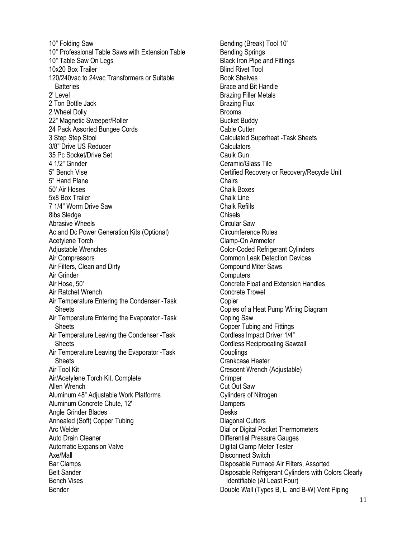10" Folding Saw 10" Professional Table Saws with Extension Table 10" Table Saw On Legs 10x20 Box Trailer 120/240vac to 24vac Transformers or Suitable **Batteries** 2' Level 2 Ton Bottle Jack 2 Wheel Dolly 22" Magnetic Sweeper/Roller 24 Pack Assorted Bungee Cords 3 Step Step Stool 3/8" Drive US Reducer 35 Pc Socket/Drive Set 4 1/2" Grinder 5" Bench Vise 5" Hand Plane 50' Air Hoses 5x8 Box Trailer 7 1/4" Worm Drive Saw 8lbs Sledge Abrasive Wheels Ac and Dc Power Generation Kits (Optional) Acetylene Torch Adjustable Wrenches Air Compressors Air Filters, Clean and Dirty Air Grinder Air Hose, 50' Air Ratchet Wrench Air Temperature Entering the Condenser -Task **Sheets** Air Temperature Entering the Evaporator -Task **Sheets** Air Temperature Leaving the Condenser -Task **Sheets** Air Temperature Leaving the Evaporator -Task **Sheets** Air Tool Kit Air/Acetylene Torch Kit, Complete Allen Wrench Aluminum 48" Adjustable Work Platforms Aluminum Concrete Chute, 12' Angle Grinder Blades Annealed (Soft) Copper Tubing Arc Welder Auto Drain Cleaner Automatic Expansion Valve Axe/Mall Bar Clamps Belt Sander Bench Vises Bender

Bending (Break) Tool 10' Bending Springs Black Iron Pipe and Fittings Blind Rivet Tool Book Shelves Brace and Bit Handle Brazing Filler Metals Brazing Flux Brooms Bucket Buddy Cable Cutter Calculated Superheat -Task Sheets **Calculators** Caulk Gun Ceramic/Glass Tile Certified Recovery or Recovery/Recycle Unit **Chairs** Chalk Boxes Chalk Line Chalk Refills Chisels Circular Saw Circumference Rules Clamp-On Ammeter Color-Coded Refrigerant Cylinders Common Leak Detection Devices Compound Miter Saws **Computers** Concrete Float and Extension Handles Concrete Trowel Copier Copies of a Heat Pump Wiring Diagram Coping Saw Copper Tubing and Fittings Cordless Impact Driver 1/4" Cordless Reciprocating Sawzall Couplings Crankcase Heater Crescent Wrench (Adjustable) **Crimper** Cut Out Saw Cylinders of Nitrogen **Dampers Desks** Diagonal Cutters Dial or Digital Pocket Thermometers Differential Pressure Gauges Digital Clamp Meter Tester Disconnect Switch Disposable Furnace Air Filters, Assorted Disposable Refrigerant Cylinders with Colors Clearly Identifiable (At Least Four) Double Wall (Types B, L, and B-W) Vent Piping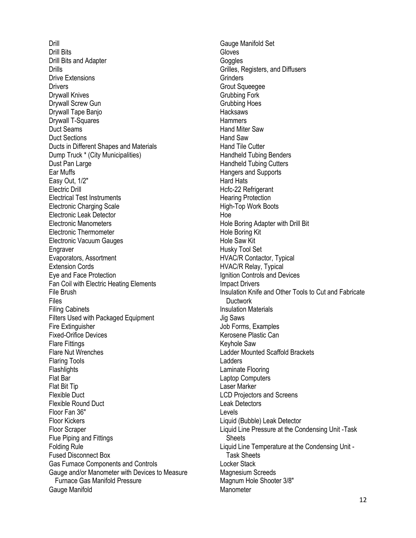Drill Drill Bits Drill Bits and Adapter **Drills** Drive Extensions **Drivers** Drywall Knives Drywall Screw Gun Drywall Tape Banjo Drywall T-Squares Duct Seams Duct Sections Ducts in Different Shapes and Materials Dump Truck \* (City Municipalities) Dust Pan Large Ear Muffs Easy Out, 1/2" Electric Drill Electrical Test Instruments Electronic Charging Scale Electronic Leak Detector Electronic Manometers Electronic Thermometer Electronic Vacuum Gauges **Engraver** Evaporators, Assortment Extension Cords Eye and Face Protection Fan Coil with Electric Heating Elements File Brush Files Filing Cabinets Filters Used with Packaged Equipment Fire Extinguisher Fixed-Orifice Devices Flare Fittings Flare Nut Wrenches Flaring Tools **Flashlights** Flat Bar Flat Bit Tip Flexible Duct Flexible Round Duct Floor Fan 36" Floor Kickers Floor Scraper Flue Piping and Fittings Folding Rule Fused Disconnect Box Gas Furnace Components and Controls Gauge and/or Manometer with Devices to Measure Furnace Gas Manifold Pressure Gauge Manifold

Gauge Manifold Set Gloves **Goggles** Grilles, Registers, and Diffusers **Grinders** Grout Squeegee Grubbing Fork Grubbing Hoes **Hacksaws Hammers** Hand Miter Saw Hand Saw Hand Tile Cutter Handheld Tubing Benders Handheld Tubing Cutters Hangers and Supports Hard Hats Hcfc-22 Refrigerant Hearing Protection High-Top Work Boots Hoe Hole Boring Adapter with Drill Bit Hole Boring Kit Hole Saw Kit Husky Tool Set HVAC/R Contactor, Typical HVAC/R Relay, Typical Ignition Controls and Devices Impact Drivers Insulation Knife and Other Tools to Cut and Fabricate **Ductwork** Insulation Materials Jig Saws Job Forms, Examples Kerosene Plastic Can Keyhole Saw Ladder Mounted Scaffold Brackets Ladders Laminate Flooring Laptop Computers Laser Marker LCD Projectors and Screens Leak Detectors Levels Liquid (Bubble) Leak Detector Liquid Line Pressure at the Condensing Unit -Task **Sheets** Liquid Line Temperature at the Condensing Unit - Task Sheets Locker Stack Magnesium Screeds Magnum Hole Shooter 3/8" **Manometer**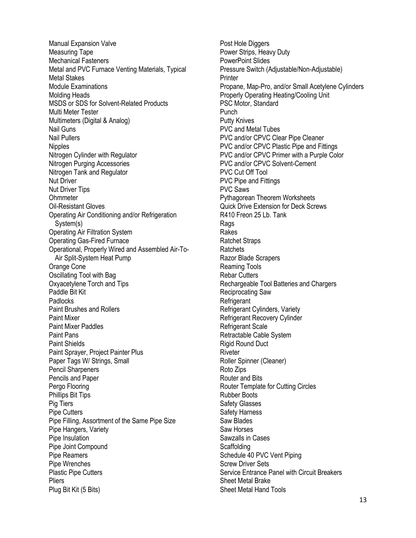Manual Expansion Valve Measuring Tape Mechanical Fasteners Metal and PVC Furnace Venting Materials, Typical Metal Stakes Module Examinations Molding Heads MSDS or SDS for Solvent-Related Products Multi Meter Tester Multimeters (Digital & Analog) Nail Guns Nail Pullers **Nipples** Nitrogen Cylinder with Regulator Nitrogen Purging Accessories Nitrogen Tank and Regulator Nut Driver Nut Driver Tips **Ohmmeter** Oil-Resistant Gloves Operating Air Conditioning and/or Refrigeration System(s) Operating Air Filtration System Operating Gas-Fired Furnace Operational, Properly Wired and Assembled Air-To-Air Split-System Heat Pump Orange Cone Oscillating Tool with Bag Oxyacetylene Torch and Tips Paddle Bit Kit **Padlocks** Paint Brushes and Rollers Paint Mixer Paint Mixer Paddles Paint Pans Paint Shields Paint Sprayer, Project Painter Plus Paper Tags W/ Strings, Small Pencil Sharpeners Pencils and Paper Pergo Flooring Phillips Bit Tips Pig Tiers Pipe Cutters Pipe Filling, Assortment of the Same Pipe Size Pipe Hangers, Variety Pipe Insulation Pipe Joint Compound Pipe Reamers Pipe Wrenches Plastic Pipe Cutters **Pliers** Plug Bit Kit (5 Bits)

Post Hole Diggers Power Strips, Heavy Duty PowerPoint Slides Pressure Switch (Adjustable/Non-Adjustable) **Printer** Propane, Map-Pro, and/or Small Acetylene Cylinders Properly Operating Heating/Cooling Unit PSC Motor, Standard Punch Putty Knives PVC and Metal Tubes PVC and/or CPVC Clear Pipe Cleaner PVC and/or CPVC Plastic Pipe and Fittings PVC and/or CPVC Primer with a Purple Color PVC and/or CPVC Solvent-Cement PVC Cut Off Tool PVC Pipe and Fittings PVC Saws Pythagorean Theorem Worksheets Quick Drive Extension for Deck Screws R410 Freon 25 Lb. Tank Rags Rakes Ratchet Straps Ratchets Razor Blade Scrapers Reaming Tools Rebar Cutters Rechargeable Tool Batteries and Chargers Reciprocating Saw **Refrigerant** Refrigerant Cylinders, Variety Refrigerant Recovery Cylinder Refrigerant Scale Retractable Cable System Rigid Round Duct **Riveter** Roller Spinner (Cleaner) Roto Zips Router and Bits Router Template for Cutting Circles Rubber Boots Safety Glasses Safety Harness Saw Blades Saw Horses Sawzalls in Cases **Scaffolding** Schedule 40 PVC Vent Piping Screw Driver Sets Service Entrance Panel with Circuit Breakers Sheet Metal Brake Sheet Metal Hand Tools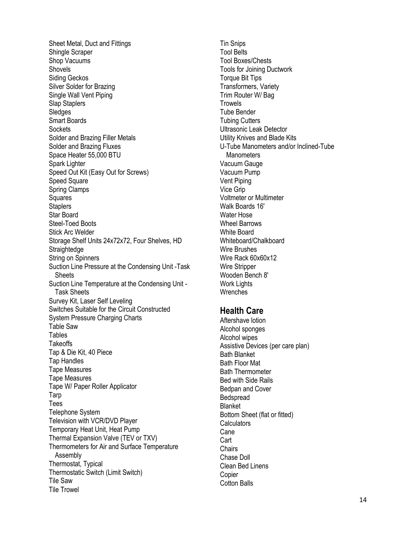Sheet Metal, Duct and Fittings Shingle Scraper Shop Vacuums Shovels Siding Geckos Silver Solder for Brazing Single Wall Vent Piping Slap Staplers Sledges Smart Boards **Sockets** Solder and Brazing Filler Metals Solder and Brazing Fluxes Space Heater 55,000 BTU Spark Lighter Speed Out Kit (Easy Out for Screws) Speed Square Spring Clamps Squares **Staplers** Star Board Steel-Toed Boots Stick Arc Welder Storage Shelf Units 24x72x72, Four Shelves, HD **Straightedge** String on Spinners Suction Line Pressure at the Condensing Unit -Task **Sheets** Suction Line Temperature at the Condensing Unit - Task Sheets Survey Kit, Laser Self Leveling Switches Suitable for the Circuit Constructed System Pressure Charging Charts Table Saw Tables **Takeoffs** Tap & Die Kit, 40 Piece Tap Handles Tape Measures Tape Measures Tape W/ Paper Roller Applicator Tarp Tees Telephone System Television with VCR/DVD Player Temporary Heat Unit, Heat Pump Thermal Expansion Valve (TEV or TXV) Thermometers for Air and Surface Temperature Assembly Thermostat, Typical Thermostatic Switch (Limit Switch) Tile Saw Tile Trowel

Tin Snips Tool Belts Tool Boxes/Chests Tools for Joining Ductwork Torque Bit Tips Transformers, Variety Trim Router W/ Bag **Trowels** Tube Bender Tubing Cutters Ultrasonic Leak Detector Utility Knives and Blade Kits U-Tube Manometers and/or Inclined-Tube **Manometers** Vacuum Gauge Vacuum Pump Vent Piping Vice Grip Voltmeter or Multimeter Walk Boards 16' Water Hose Wheel Barrows White Board Whiteboard/Chalkboard Wire Brushes Wire Rack 60x60x12 Wire Stripper Wooden Bench 8' Work Lights **Wrenches** 

#### **Health Care**

Aftershave lotion Alcohol sponges Alcohol wipes Assistive Devices (per care plan) Bath Blanket Bath Floor Mat Bath Thermometer Bed with Side Rails Bedpan and Cover **Bedspread** Blanket Bottom Sheet (flat or fitted) **Calculators Cane** Cart **Chairs** Chase Doll Clean Bed Linens Copier Cotton Balls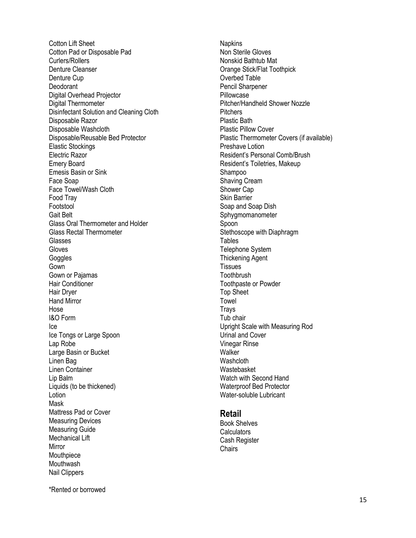Cotton Lift Sheet Cotton Pad or Disposable Pad Curlers/Rollers Denture Cleanser Denture Cup Deodorant Digital Overhead Projector Digital Thermometer Disinfectant Solution and Cleaning Cloth Disposable Razor Disposable Washcloth Disposable/Reusable Bed Protector Elastic Stockings Electric Razor Emery Board Emesis Basin or Sink Face Soap Face Towel/Wash Cloth Food Tray Footstool Gait Belt Glass Oral Thermometer and Holder Glass Rectal Thermometer Glasses Gloves **Goggles** Gown Gown or Pajamas Hair Conditioner Hair Dryer Hand Mirror Hose I&O Form Ice Ice Tongs or Large Spoon Lap Robe Large Basin or Bucket Linen Bag Linen Container Lip Balm Liquids (to be thickened) **Lotion** Mask Mattress Pad or Cover Measuring Devices Measuring Guide Mechanical Lift Mirror Mouthpiece Mouthwash Nail Clippers

Napkins Non Sterile Gloves Nonskid Bathtub Mat Orange Stick/Flat Toothpick Overbed Table Pencil Sharpener Pillowcase Pitcher/Handheld Shower Nozzle **Pitchers** Plastic Bath Plastic Pillow Cover Plastic Thermometer Covers (if available) Preshave Lotion Resident's Personal Comb/Brush Resident's Toiletries, Makeu p Shampoo Shaving Cream Shower Cap Skin Barrier Soap and Soap Dish Sphygmomanometer Spoon Stethoscope with Diaphragm Tables Telephone System Thickening Agent **Tissues Toothbrush** Toothpaste or Powder Top Sheet Towel **Trays** Tub chair Upright Scale with Measuring Rod Urinal and Cover Vinegar Rinse **Walker Washcloth** Wastebasket Watch with Second Hand Waterproof Bed Protector Water -soluble Lubricant

#### **Retail**

Book Shelves **Calculators** Cash Register **Chairs** 

\*Rented or borrowed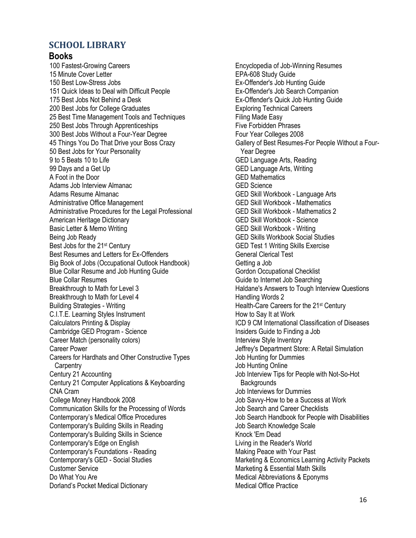#### **SCHOOL LIBRARY**

#### **Books**

100 Fastest-Growing Careers 15 Minute Cover Letter 150 Best Low-Stress Jobs 151 Quick Ideas to Deal with Difficult People 175 Best Jobs Not Behind a Desk 200 Best Jobs for College Graduates 25 Best Time Management Tools and Techniques 250 Best Jobs Through Apprenticeships 300 Best Jobs Without a Four-Year Degree 45 Things You Do That Drive your Boss Crazy 50 Best Jobs for Your Personality 9 to 5 Beats 10 to Life 99 Days and a Get Up A Foot in the Door Adams Job Interview Almanac Adams Resume Almanac Administrative Office Management Administrative Procedures for the Legal Professional American Heritage Dictionary Basic Letter & Memo Writing Being Job Ready Best Jobs for the 21st Century Best Resumes and Letters for Ex-Offenders Big Book of Jobs (Occupational Outlook Handbook) Blue Collar Resume and Job Hunting Guide Blue Collar Resumes Breakthrough to Math for Level 3 Breakthrough to Math for Level 4 Building Strategies - Writing C.I.T.E. Learning Styles Instrument Calculators Printing & Display Cambridge GED Program - Science Career Match (personality colors) Career Power Careers for Hardhats and Other Constructive Types **Carpentry** Century 21 Accounting Century 21 Computer Applications & Keyboarding CNA Cram College Money Handbook 2008 Communication Skills for the Processing of Words Contemporary's Medical Office Procedures Contemporary's Building Skills in Reading Contemporary's Building Skills in Science Contemporary's Edge on English Contemporary's Foundations - Reading Contemporary's GED - Social Studies Customer Service Do What You Are Dorland's Pocket Medical Dictionary

Encyclopedia of Job-Winning Resumes EPA-608 Study Guide Ex-Offender's Job Hunting Guide Ex-Offender's Job Search Companion Ex-Offender's Quick Job Hunting Guide Exploring Technical Careers Filing Made Easy Five Forbidden Phrases Four Year Colleges 2008 Gallery of Best Resumes-For People Without a Four- Year Degree GED Language Arts, Reading GED Language Arts, Writing GED Mathematics GED Science GED Skill Workbook - Language Arts GED Skill Workbook - Mathematics GED Skill Workbook - Mathematics 2 GED Skill Workbook - Science GED Skill Workbook - Writing GED Skills Workbook Social Studies GED Test 1 Writing Skills Exercise General Clerical Test Getting a Job Gordon Occupational Checklist Guide to Internet Job Searching Haldane's Answers to Tough Interview Questions Handling Words 2 Health-Care Careers for the 21<sup>st</sup> Century How to Say It at Work ICD 9 CM International Classification of Diseases Insiders Guide to Finding a Job Interview Style Inventory Jeffrey's Department Store: A Retail Simulation Job Hunting for Dummies Job Hunting Online Job Interview Tips for People with Not-So-Hot **Backgrounds** Job Interviews for Dummies Job Savvy-How to be a Success at Work Job Search and Career Checklists Job Search Handbook for People with Disabilities Job Search Knowledge Scale Knock 'Em Dead Living in the Reader's World Making Peace with Your Past Marketing & Economics Learning Activity Packets Marketing & Essential Math Skills Medical Abbreviations & Eponyms Medical Office Practice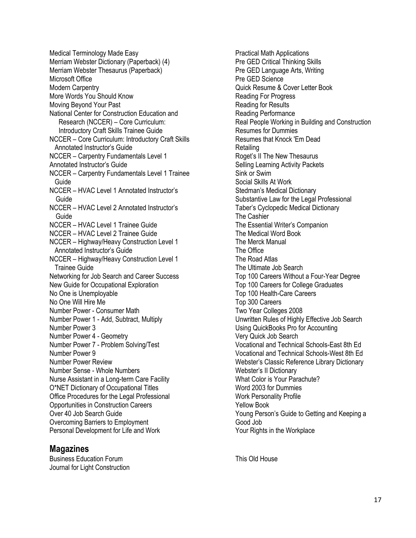Medical Terminology Made Easy Merriam Webster Dictionary (Paperback) (4) Merriam Webster Thesaurus (Paperback) Microsoft Office Modern Carpentry More Words You Should Know Moving Beyond Your Past National Center for Construction Education and Research (NCCER) – Core Curriculum: Introductory Craft Skills Trainee Guide NCCER – Core Curriculum: Introductory Craft Skills Annotated Instructor's Guide NCCER – Carpentry Fundamentals Level 1 Annotated Instructor's Guide NCCER – Carpentry Fundamentals Level 1 Trainee Guide NCCER – HVAC Level 1 Annotated Instructor's Guide NCCER – HVAC Level 2 Annotated Instructor's Guide NCCER – HVAC Level 1 Trainee Guide NCCER – HVAC Level 2 Trainee Guide NCCER – Highway/Heavy Construction Level 1 Annotated Instructor's Guide NCCER – Highway/Heavy Construction Level 1 Trainee Guide Networking for Job Search and Career Success New Guide for Occupational Exploration No One is Unemployable No One Will Hire Me Number Power - Consumer Math Number Power 1 - Add, Subtract, Multiply Number Power 3 Number Power 4 - Geometry Number Power 7 - Problem Solving/Test Number Power 9 Number Power Review Number Sense - Whole Numbers Nurse Assistant in a Long-term Care Facility O\*NET Dictionary of Occupational Titles Office Procedures for the Legal Professional Opportunities in Construction Careers Over 40 Job Search Guide Overcoming Barriers to Employment Personal Development for Life and Work

#### **Magazines**

Business Education Forum Journal for Light Construction Practical Math Applications Pre GED Critical Thinking Skills Pre GED Language Arts, Writing Pre GED Science Quick Resume & Cover Letter Book Reading For Progress Reading for Results Reading Performance Real People Working in Building and Construction Resumes for Dummies Resumes that Knock 'Em Dead Retailing Roget's II The New Thesaurus Selling Learning Activity Packets Sink or Swim Social Skills At Work Stedman's Medical Dictionary Substantive Law for the Legal Professional Taber's Cyclopedic Medical Dictionary The Cashier The Essential Writer's Companion The Medical Word Book The Merck Manual The Office The Road Atlas The Ultimate Job Search Top 100 Careers Without a Four-Year Degree Top 100 Careers for College Graduates Top 100 Health-Care Careers Top 300 Careers Two Year Colleges 2008 Unwritten Rules of Highly Effective Job Search Using QuickBooks Pro for Accounting Very Quick Job Search Vocational and Technical Schools-East 8th Ed Vocational and Technical Schools-West 8th Ed Webster's Classic Reference Library Dictionary Webster's II Dictionary What Color is Your Parachute? Word 2003 for Dummies Work Personality Profile Yellow Book Young Person's Guide to Getting and Keeping a Good Job Your Rights in the Workplace

This Old House